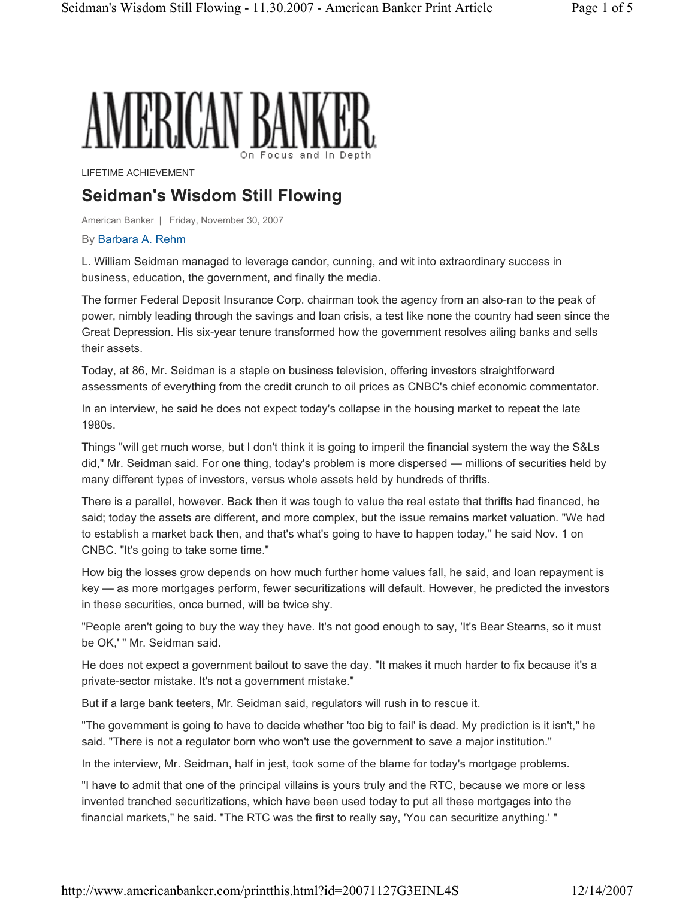# AMERICAN BANKEI

LIFETIME ACHIEVEMENT

## **Seidman's Wisdom Still Flowing**

American Banker | Friday, November 30, 2007

#### By Barbara A. Rehm

L. William Seidman managed to leverage candor, cunning, and wit into extraordinary success in business, education, the government, and finally the media.

The former Federal Deposit Insurance Corp. chairman took the agency from an also-ran to the peak of power, nimbly leading through the savings and loan crisis, a test like none the country had seen since the Great Depression. His six-year tenure transformed how the government resolves ailing banks and sells their assets.

Today, at 86, Mr. Seidman is a staple on business television, offering investors straightforward assessments of everything from the credit crunch to oil prices as CNBC's chief economic commentator.

In an interview, he said he does not expect today's collapse in the housing market to repeat the late 1980s.

Things "will get much worse, but I don't think it is going to imperil the financial system the way the S&Ls did," Mr. Seidman said. For one thing, today's problem is more dispersed — millions of securities held by many different types of investors, versus whole assets held by hundreds of thrifts.

There is a parallel, however. Back then it was tough to value the real estate that thrifts had financed, he said; today the assets are different, and more complex, but the issue remains market valuation. "We had to establish a market back then, and that's what's going to have to happen today," he said Nov. 1 on CNBC. "It's going to take some time."

How big the losses grow depends on how much further home values fall, he said, and loan repayment is key — as more mortgages perform, fewer securitizations will default. However, he predicted the investors in these securities, once burned, will be twice shy.

"People aren't going to buy the way they have. It's not good enough to say, 'It's Bear Stearns, so it must be OK,' " Mr. Seidman said.

He does not expect a government bailout to save the day. "It makes it much harder to fix because it's a private-sector mistake. It's not a government mistake."

But if a large bank teeters, Mr. Seidman said, regulators will rush in to rescue it.

"The government is going to have to decide whether 'too big to fail' is dead. My prediction is it isn't," he said. "There is not a regulator born who won't use the government to save a major institution."

In the interview, Mr. Seidman, half in jest, took some of the blame for today's mortgage problems.

"I have to admit that one of the principal villains is yours truly and the RTC, because we more or less invented tranched securitizations, which have been used today to put all these mortgages into the financial markets," he said. "The RTC was the first to really say, 'You can securitize anything.' "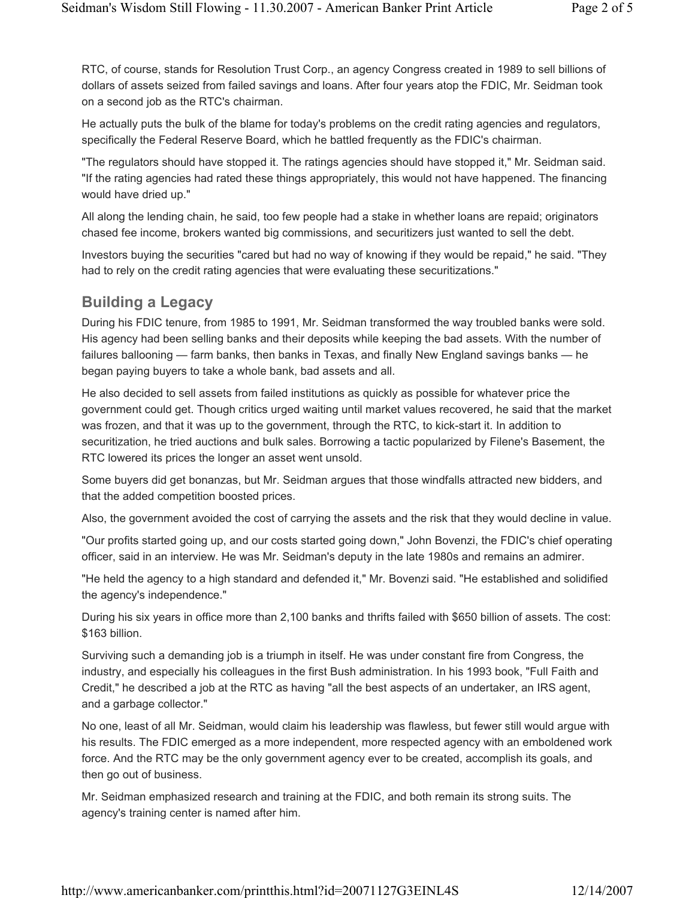RTC, of course, stands for Resolution Trust Corp., an agency Congress created in 1989 to sell billions of dollars of assets seized from failed savings and loans. After four years atop the FDIC, Mr. Seidman took on a second job as the RTC's chairman.

He actually puts the bulk of the blame for today's problems on the credit rating agencies and regulators, specifically the Federal Reserve Board, which he battled frequently as the FDIC's chairman.

"The regulators should have stopped it. The ratings agencies should have stopped it," Mr. Seidman said. "If the rating agencies had rated these things appropriately, this would not have happened. The financing would have dried up."

All along the lending chain, he said, too few people had a stake in whether loans are repaid; originators chased fee income, brokers wanted big commissions, and securitizers just wanted to sell the debt.

Investors buying the securities "cared but had no way of knowing if they would be repaid," he said. "They had to rely on the credit rating agencies that were evaluating these securitizations."

#### **Building a Legacy**

During his FDIC tenure, from 1985 to 1991, Mr. Seidman transformed the way troubled banks were sold. His agency had been selling banks and their deposits while keeping the bad assets. With the number of failures ballooning — farm banks, then banks in Texas, and finally New England savings banks — he began paying buyers to take a whole bank, bad assets and all.

He also decided to sell assets from failed institutions as quickly as possible for whatever price the government could get. Though critics urged waiting until market values recovered, he said that the market was frozen, and that it was up to the government, through the RTC, to kick-start it. In addition to securitization, he tried auctions and bulk sales. Borrowing a tactic popularized by Filene's Basement, the RTC lowered its prices the longer an asset went unsold.

Some buyers did get bonanzas, but Mr. Seidman argues that those windfalls attracted new bidders, and that the added competition boosted prices.

Also, the government avoided the cost of carrying the assets and the risk that they would decline in value.

"Our profits started going up, and our costs started going down," John Bovenzi, the FDIC's chief operating officer, said in an interview. He was Mr. Seidman's deputy in the late 1980s and remains an admirer.

"He held the agency to a high standard and defended it," Mr. Bovenzi said. "He established and solidified the agency's independence."

During his six years in office more than 2,100 banks and thrifts failed with \$650 billion of assets. The cost: \$163 billion.

Surviving such a demanding job is a triumph in itself. He was under constant fire from Congress, the industry, and especially his colleagues in the first Bush administration. In his 1993 book, "Full Faith and Credit," he described a job at the RTC as having "all the best aspects of an undertaker, an IRS agent, and a garbage collector."

No one, least of all Mr. Seidman, would claim his leadership was flawless, but fewer still would argue with his results. The FDIC emerged as a more independent, more respected agency with an emboldened work force. And the RTC may be the only government agency ever to be created, accomplish its goals, and then go out of business.

Mr. Seidman emphasized research and training at the FDIC, and both remain its strong suits. The agency's training center is named after him.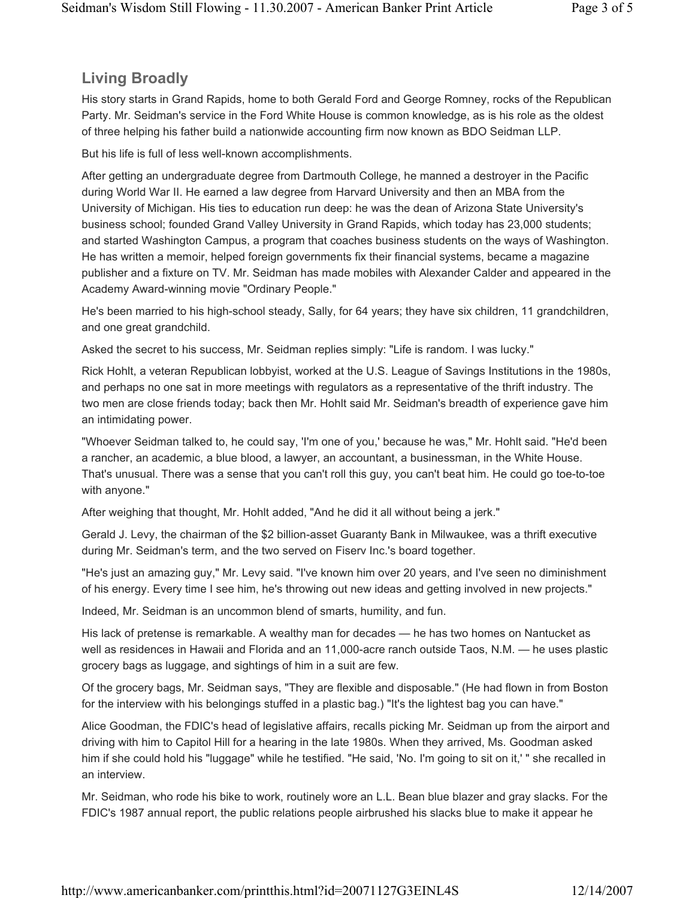### **Living Broadly**

His story starts in Grand Rapids, home to both Gerald Ford and George Romney, rocks of the Republican Party. Mr. Seidman's service in the Ford White House is common knowledge, as is his role as the oldest of three helping his father build a nationwide accounting firm now known as BDO Seidman LLP.

But his life is full of less well-known accomplishments.

After getting an undergraduate degree from Dartmouth College, he manned a destroyer in the Pacific during World War II. He earned a law degree from Harvard University and then an MBA from the University of Michigan. His ties to education run deep: he was the dean of Arizona State University's business school; founded Grand Valley University in Grand Rapids, which today has 23,000 students; and started Washington Campus, a program that coaches business students on the ways of Washington. He has written a memoir, helped foreign governments fix their financial systems, became a magazine publisher and a fixture on TV. Mr. Seidman has made mobiles with Alexander Calder and appeared in the Academy Award-winning movie "Ordinary People."

He's been married to his high-school steady, Sally, for 64 years; they have six children, 11 grandchildren, and one great grandchild.

Asked the secret to his success, Mr. Seidman replies simply: "Life is random. I was lucky."

Rick Hohlt, a veteran Republican lobbyist, worked at the U.S. League of Savings Institutions in the 1980s, and perhaps no one sat in more meetings with regulators as a representative of the thrift industry. The two men are close friends today; back then Mr. Hohlt said Mr. Seidman's breadth of experience gave him an intimidating power.

"Whoever Seidman talked to, he could say, 'I'm one of you,' because he was," Mr. Hohlt said. "He'd been a rancher, an academic, a blue blood, a lawyer, an accountant, a businessman, in the White House. That's unusual. There was a sense that you can't roll this guy, you can't beat him. He could go toe-to-toe with anyone."

After weighing that thought, Mr. Hohlt added, "And he did it all without being a jerk."

Gerald J. Levy, the chairman of the \$2 billion-asset Guaranty Bank in Milwaukee, was a thrift executive during Mr. Seidman's term, and the two served on Fiserv Inc.'s board together.

"He's just an amazing guy," Mr. Levy said. "I've known him over 20 years, and I've seen no diminishment of his energy. Every time I see him, he's throwing out new ideas and getting involved in new projects."

Indeed, Mr. Seidman is an uncommon blend of smarts, humility, and fun.

His lack of pretense is remarkable. A wealthy man for decades — he has two homes on Nantucket as well as residences in Hawaii and Florida and an 11,000-acre ranch outside Taos, N.M. — he uses plastic grocery bags as luggage, and sightings of him in a suit are few.

Of the grocery bags, Mr. Seidman says, "They are flexible and disposable." (He had flown in from Boston for the interview with his belongings stuffed in a plastic bag.) "It's the lightest bag you can have."

Alice Goodman, the FDIC's head of legislative affairs, recalls picking Mr. Seidman up from the airport and driving with him to Capitol Hill for a hearing in the late 1980s. When they arrived, Ms. Goodman asked him if she could hold his "luggage" while he testified. "He said, 'No. I'm going to sit on it,' " she recalled in an interview.

Mr. Seidman, who rode his bike to work, routinely wore an L.L. Bean blue blazer and gray slacks. For the FDIC's 1987 annual report, the public relations people airbrushed his slacks blue to make it appear he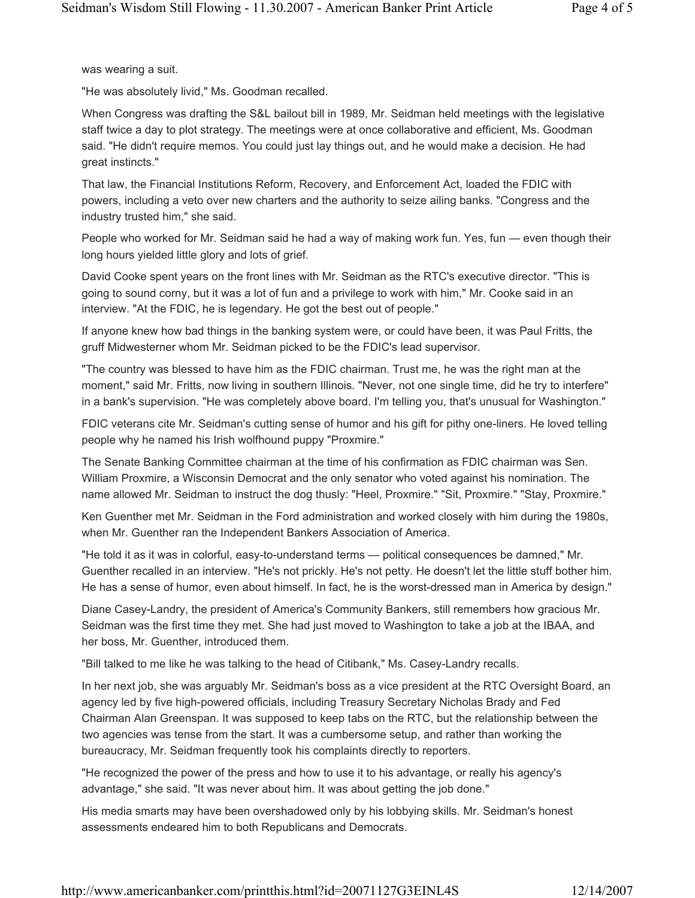was wearing a suit.

"He was absolutely livid," Ms. Goodman recalled.

When Congress was drafting the S&L bailout bill in 1989, Mr. Seidman held meetings with the legislative staff twice a day to plot strategy. The meetings were at once collaborative and efficient, Ms. Goodman said. "He didn't require memos. You could just lay things out, and he would make a decision. He had great instincts."

That law, the Financial Institutions Reform, Recovery, and Enforcement Act, loaded the FDIC with powers, including a veto over new charters and the authority to seize ailing banks. "Congress and the industry trusted him," she said.

People who worked for Mr. Seidman said he had a way of making work fun. Yes, fun — even though their long hours yielded little glory and lots of grief.

David Cooke spent years on the front lines with Mr. Seidman as the RTC's executive director. "This is going to sound corny, but it was a lot of fun and a privilege to work with him," Mr. Cooke said in an interview. "At the FDIC, he is legendary. He got the best out of people."

If anyone knew how bad things in the banking system were, or could have been, it was Paul Fritts, the gruff Midwesterner whom Mr. Seidman picked to be the FDIC's lead supervisor.

"The country was blessed to have him as the FDIC chairman. Trust me, he was the right man at the moment," said Mr. Fritts, now living in southern Illinois. "Never, not one single time, did he try to interfere" in a bank's supervision. "He was completely above board. I'm telling you, that's unusual for Washington."

FDIC veterans cite Mr. Seidman's cutting sense of humor and his gift for pithy one-liners. He loved telling people why he named his Irish wolfhound puppy "Proxmire."

The Senate Banking Committee chairman at the time of his confirmation as FDIC chairman was Sen. William Proxmire, a Wisconsin Democrat and the only senator who voted against his nomination. The name allowed Mr. Seidman to instruct the dog thusly: "Heel, Proxmire." "Sit, Proxmire." "Stay, Proxmire."

Ken Guenther met Mr. Seidman in the Ford administration and worked closely with him during the 1980s, when Mr. Guenther ran the Independent Bankers Association of America.

"He told it as it was in colorful, easy-to-understand terms — political consequences be damned," Mr. Guenther recalled in an interview. "He's not prickly. He's not petty. He doesn't let the little stuff bother him. He has a sense of humor, even about himself. In fact, he is the worst-dressed man in America by design."

Diane Casey-Landry, the president of America's Community Bankers, still remembers how gracious Mr. Seidman was the first time they met. She had just moved to Washington to take a job at the IBAA, and her boss, Mr. Guenther, introduced them.

"Bill talked to me like he was talking to the head of Citibank," Ms. Casey-Landry recalls.

In her next job, she was arguably Mr. Seidman's boss as a vice president at the RTC Oversight Board, an agency led by five high-powered officials, including Treasury Secretary Nicholas Brady and Fed Chairman Alan Greenspan. It was supposed to keep tabs on the RTC, but the relationship between the two agencies was tense from the start. It was a cumbersome setup, and rather than working the bureaucracy, Mr. Seidman frequently took his complaints directly to reporters.

"He recognized the power of the press and how to use it to his advantage, or really his agency's advantage," she said. "It was never about him. It was about getting the job done."

His media smarts may have been overshadowed only by his lobbying skills. Mr. Seidman's honest assessments endeared him to both Republicans and Democrats.